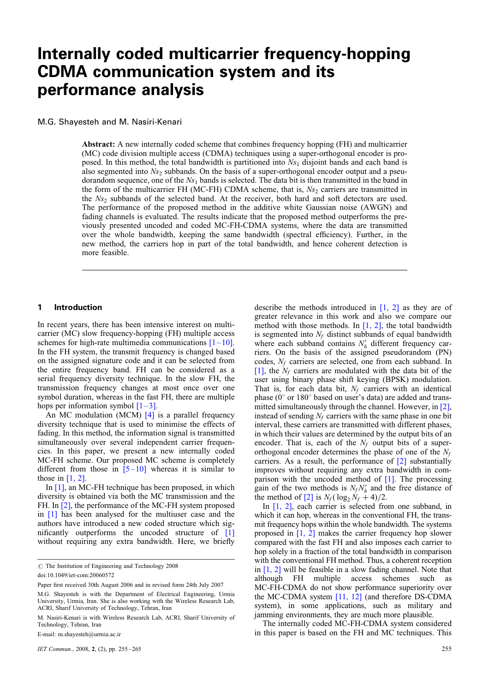# Internally coded multicarrier frequency-hopping CDMA communication system and its performance analysis

## M.G. Shayesteh and M. Nasiri-Kenari

Abstract: A new internally coded scheme that combines frequency hopping (FH) and multicarrier (MC) code division multiple access (CDMA) techniques using a super-orthogonal encoder is proposed. In this method, the total bandwidth is partitioned into  $Ns_1$  disjoint bands and each band is also segmented into  $Ns_2$  subbands. On the basis of a super-orthogonal encoder output and a pseudorandom sequence, one of the  $Ns_1$  bands is selected. The data bit is then transmitted in the band in the form of the multicarrier FH (MC-FH) CDMA scheme, that is,  $Ns_2$  carriers are transmitted in the Ns<sub>2</sub> subbands of the selected band. At the receiver, both hard and soft detectors are used. The performance of the proposed method in the additive white Gaussian noise (AWGN) and fading channels is evaluated. The results indicate that the proposed method outperforms the previously presented uncoded and coded MC-FH-CDMA systems, where the data are transmitted over the whole bandwidth, keeping the same bandwidth (spectral efficiency). Further, in the new method, the carriers hop in part of the total bandwidth, and hence coherent detection is more feasible.

## 1 Introduction

In recent years, there has been intensive interest on multicarrier (MC) slow frequency-hopping (FH) multiple access schemes for high-rate multimedia communications  $[1 - 10]$ . In the FH system, the transmit frequency is changed based on the assigned signature code and it can be selected from the entire frequency band. FH can be considered as a serial frequency diversity technique. In the slow FH, the transmission frequency changes at most once over one symbol duration, whereas in the fast FH, there are multiple hops per information symbol  $[1-3]$ .

An MC modulation (MCM) [4] is a parallel frequency diversity technique that is used to minimise the effects of fading. In this method, the information signal is transmitted simultaneously over several independent carrier frequencies. In this paper, we present a new internally coded MC-FH scheme. Our proposed MC scheme is completely different from those in  $[5-10]$  whereas it is similar to those in  $[1, 2]$ .

In [1], an MC-FH technique has been proposed, in which diversity is obtained via both the MC transmission and the FH. In [2], the performance of the MC-FH system proposed in [1] has been analysed for the multiuser case and the authors have introduced a new coded structure which significantly outperforms the uncoded structure of [1] without requiring any extra bandwidth. Here, we briefly

E-mail: m.shayesteh@urmia.ac.ir

describe the methods introduced in  $[1, 2]$  as they are of greater relevance in this work and also we compare our method with those methods. In  $[1, 2]$ , the total bandwidth is segmented into  $N_f$  distinct subbands of equal bandwidth where each subband contains  $N_h$  different frequency carriers. On the basis of the assigned pseudorandom (PN) codes,  $N_f$  carriers are selected, one from each subband. In [1], the  $N_f$  carriers are modulated with the data bit of the user using binary phase shift keying (BPSK) modulation. That is, for each data bit,  $N_f$  carriers with an identical phase ( $0^{\circ}$  or  $180^{\circ}$  based on user's data) are added and transmitted simultaneously through the channel. However, in [2], instead of sending  $N_f$  carriers with the same phase in one bit interval, these carriers are transmitted with different phases, in which their values are determined by the output bits of an encoder. That is, each of the  $N_f$  output bits of a superorthogonal encoder determines the phase of one of the  $N_f$ carriers. As a result, the performance of [2] substantially improves without requiring any extra bandwidth in comparison with the uncoded method of  $[1]$ . The processing gain of the two methods is  $N_f N'_h$  and the free distance of the method of [2] is  $N_f (\log_2 N_f + 4)/2$ .

In [1, 2], each carrier is selected from one subband, in which it can hop, whereas in the conventional FH, the transmit frequency hops within the whole bandwidth. The systems proposed in [1, 2] makes the carrier frequency hop slower compared with the fast FH and also imposes each carrier to hop solely in a fraction of the total bandwidth in comparison with the conventional FH method. Thus, a coherent reception in [1, 2] will be feasible in a slow fading channel. Note that although FH multiple access schemes such as MC-FH-CDMA do not show performance superiority over the MC-CDMA system [11, 12] (and therefore DS-CDMA system), in some applications, such as military and jamming environments, they are much more plausible.

The internally coded MC-FH-CDMA system considered in this paper is based on the FH and MC techniques. This

 $\odot$  The Institution of Engineering and Technology 2008

doi:10.1049/iet-com:20060572

Paper first received 30th August 2006 and in revised form 24th July 2007

M.G. Shayesteh is with the Department of Electrical Engineering, Urmia University, Urmia, Iran. She is also working with the Wireless Research Lab, ACRI, Sharif University of Technology, Tehran, Iran

M. Nasiri-Kenari is with Wireless Research Lab, ACRI, Sharif University of Technology, Tehran, Iran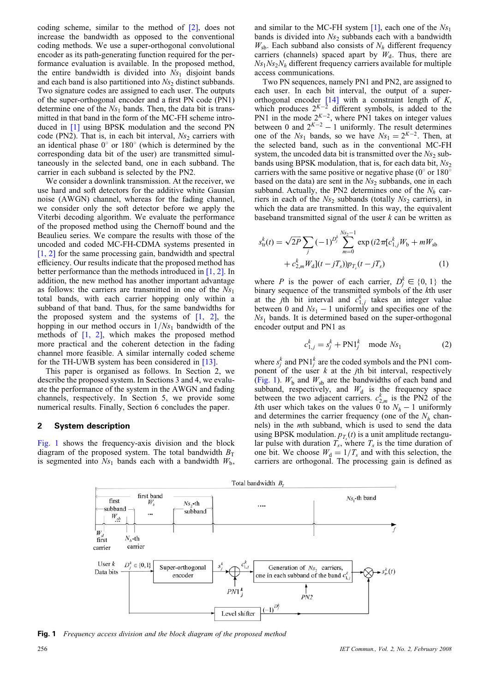coding scheme, similar to the method of [2], does not increase the bandwidth as opposed to the conventional coding methods. We use a super-orthogonal convolutional encoder as its path-generating function required for the performance evaluation is available. In the proposed method, the entire bandwidth is divided into  $Ns_1$  disjoint bands and each band is also partitioned into  $Ns_2$  distinct subbands. Two signature codes are assigned to each user. The outputs of the super-orthogonal encoder and a first PN code (PN1) determine one of the  $Ns_1$  bands. Then, the data bit is transmitted in that band in the form of the MC-FH scheme introduced in [1] using BPSK modulation and the second PN code (PN2). That is, in each bit interval,  $Ns<sub>2</sub>$  carriers with an identical phase  $0^{\circ}$  or  $180^{\circ}$  (which is determined by the corresponding data bit of the user) are transmitted simultaneously in the selected band, one in each subband. The carrier in each subband is selected by the PN2.

We consider a downlink transmission. At the receiver, we use hard and soft detectors for the additive white Gausian noise (AWGN) channel, whereas for the fading channel, we consider only the soft detector before we apply the Viterbi decoding algorithm. We evaluate the performance of the proposed method using the Chernoff bound and the Beaulieu series. We compare the results with those of the uncoded and coded MC-FH-CDMA systems presented in [1, 2] for the same processing gain, bandwidth and spectral efficiency. Our results indicate that the proposed method has better performance than the methods introduced in [1, 2]. In addition, the new method has another important advantage as follows: the carriers are transmitted in one of the  $Ns_1$ total bands, with each carrier hopping only within a subband of that band. Thus, for the same bandwidths for the proposed system and the systems of  $[1, 2]$ , the hopping in our method occurs in  $1/Ns<sub>1</sub>$  bandwidth of the methods of  $[1, 2]$ , which makes the proposed method more practical and the coherent detection in the fading channel more feasible. A similar internally coded scheme for the TH-UWB system has been considered in [13].

This paper is organised as follows. In Section 2, we describe the proposed system. In Sections 3 and 4, we evaluate the performance of the system in the AWGN and fading channels, respectively. In Section 5, we provide some numerical results. Finally, Section 6 concludes the paper.

## 2 System description

Fig. 1 shows the frequency-axis division and the block diagram of the proposed system. The total bandwidth  $B_T$ is segmented into  $Ns_1$  bands each with a bandwidth  $W_b$ ,

and similar to the MC-FH system  $[1]$ , each one of the  $Ns_1$ bands is divided into  $Ns_2$  subbands each with a bandwidth  $W_{sb}$ . Each subband also consists of  $N_h$  different frequency carriers (channels) spaced apart by  $W_d$ . Thus, there are  $Ns_1Ns_2N_h$  different frequency carriers available for multiple access communications.

Two PN sequences, namely PN1 and PN2, are assigned to each user. In each bit interval, the output of a superorthogonal encoder  $[14]$  with a constraint length of K, which produces  $2^{K-2}$  different symbols, is added to the PN1 in the mode  $2^{K-2}$ , where PN1 takes on integer values between 0 and  $2^{K-2} - 1$  uniformly. The result determines one of the  $Ns_1$  bands, so we have  $Ns_1 = 2^{K-2}$ . Then, at the selected band, such as in the conventional MC-FH system, the uncoded data bit is transmitted over the  $Ns<sub>2</sub>$  subbands using BPSK modulation, that is, for each data bit,  $Ns_2$ carriers with the same positive or negative phase ( $0^{\circ}$  or  $180^{\circ}$ ) based on the data) are sent in the  $Ns_2$  subbands, one in each subband. Actually, the PN2 determines one of the  $N_h$  carriers in each of the  $Ns_2$  subbands (totally  $Ns_2$  carriers), in which the data are transmitted. In this way, the equivalent baseband transmitted signal of the user  $k$  can be written as

$$
s_{\text{tr}}^{k}(t) = \sqrt{2P} \sum_{j} (-1)^{D_{j}^{k}} \sum_{m=0}^{N_{2} - 1} \exp(i2\pi [c_{1,j}^{k} W_{b} + mW_{sb} + c_{2,m}^{k} W_{d}](t - jT_{s})) p_{T_{s}}(t - jT_{s})
$$
\n(1)

where P is the power of each carrier,  $D_j^k \in \{0, 1\}$  the binary sequence of the transmitted symbols of the kth user at the *j*th bit interval and  $c_{1,j}^k$  takes an integer value between 0 and  $Ns_1 - 1$  uniformly and specifies one of the  $Ns<sub>1</sub>$  bands. It is determined based on the super-orthogonal encoder output and PN1 as

$$
c_{1,j}^k = s_j^k + \text{PN1}_j^k \quad \text{mode } Ns_1 \tag{2}
$$

where  $s_j^k$  and PN1 $_j^k$  are the coded symbols and the PN1 component of the user  $k$  at the *j*th bit interval, respectively (Fig. 1).  $W_b$  and  $W_{sb}$  are the bandwidths of each band and subband, respectively, and  $W_d$  is the frequency space between the two adjacent carriers.  $c_{2,m}^k$  is the PN2 of the kth user which takes on the values 0 to  $N_h - 1$  uniformly and determines the carrier frequency (one of the  $N<sub>h</sub>$  channels) in the mth subband, which is used to send the data using BPSK modulation.  $p_{T_s}(t)$  is a unit amplitude rectangular pulse with duration  $T_s$ , where  $T_s$  is the time duration of one bit. We choose  $W_d = 1/T_s$  and with this selection, the carriers are orthogonal. The processing gain is defined as



Fig. 1 Frequency access division and the block diagram of the proposed method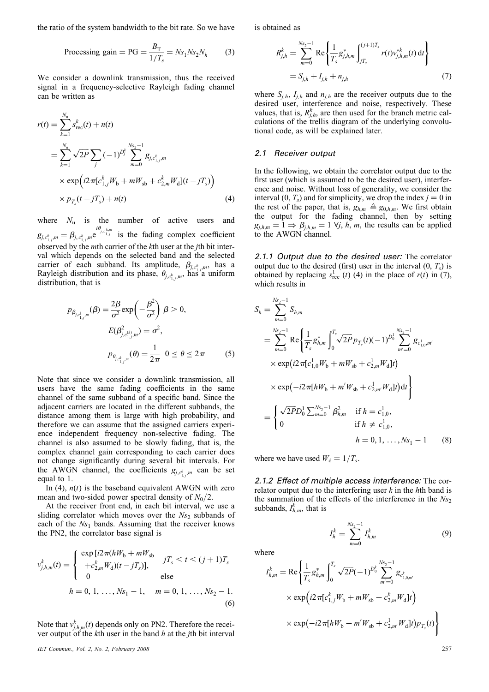the ratio of the system bandwidth to the bit rate. So we have

$$
Processing gain = PG = \frac{B_T}{1/T_s} = Ns_1Ns_2N_h \tag{3}
$$

We consider a downlink transmission, thus the received signal in a frequency-selective Rayleigh fading channel can be written as

$$
r(t) = \sum_{k=1}^{N_{\rm u}} s_{\rm rec}^k(t) + n(t)
$$
  
= 
$$
\sum_{k=1}^{N_{\rm u}} \sqrt{2P} \sum_j (-1)^{D_j^k} \sum_{m=0}^{N_{\rm s_2-1}} g_{j,c_{1,j}^k,m}
$$
  

$$
\times \exp\left(i2\pi[c_{1,j}^k W_b + mW_{\rm sb} + c_{2,m}^k W_{\rm d}](t - jT_s)\right)
$$
  

$$
\times p_{T_s}(t - jT_s) + n(t)
$$
 (4)

where  $N_{\text{u}}$  is the number of active users and  $g_{j,c_{1,j}^k,m} = \beta_{j,c_{1,j}^k,m} e^{i\theta_{j,c_{1,j}^k}m}$  is the fading complex coefficient observed by the mth carrier of the kth user at the jth bit interval which depends on the selected band and the selected carrier of each subband. Its amplitude,  $\beta_{j,c_{1,j}^k,m}$ , has a Rayleigh distribution and its phase,  $\theta_{j,c_{1,j}^k,m}$ , has a uniform distribution, that is

$$
p_{\beta_{j,c_{1,j}^k,m}}(\beta) = \frac{2\beta}{\sigma^2} \exp\left(-\frac{\beta^2}{\sigma^2}\right) \beta > 0,
$$
  
\n
$$
E(\beta_{j,c_{1,j}^{(k)},m}^2) = \sigma^2,
$$
  
\n
$$
p_{\theta_{j,c_{1,j}^k,m}^k}(\theta) = \frac{1}{2\pi} \quad 0 \le \theta \le 2\pi
$$
 (5)

Note that since we consider a downlink transmission, all users have the same fading coefficients in the same channel of the same subband of a specific band. Since the adjacent carriers are located in the different subbands, the distance among them is large with high probability, and therefore we can assume that the assigned carriers experience independent frequency non-selective fading. The channel is also assumed to be slowly fading, that is, the complex channel gain corresponding to each carrier does not change significantly during several bit intervals. For the AWGN channel, the coefficients  $g_{j,c_{1,j}^k,m}$  can be set equal to 1.

In (4),  $n(t)$  is the baseband equivalent AWGN with zero mean and two-sided power spectral density of  $N_0/2$ .

At the receiver front end, in each bit interval, we use a sliding correlator which moves over the  $Ns_2$  subbands of each of the  $Ns_1$  bands. Assuming that the receiver knows the PN2, the correlator base signal is

$$
v_{j,h,m}^k(t) = \begin{cases} \exp[i2\pi(hW_b + mW_{sb} & jT_s < t < (j+1)T_s\\ +c_{2,m}^kW_d)(t - jT_s)], & jT_s < t < (j+1)T_s\\ 0 & \text{else} \end{cases}
$$
  
  $h = 0, 1, ..., Ns_1 - 1, \quad m = 0, 1, ..., Ns_2 - 1.$  (6)

Note that  $v_{j,h,m}^k(t)$  depends only on PN2. Therefore the receiver output of the kth user in the band  $h$  at the *j*th bit interval

IET Commun., Vol. 2, No. 2, February 2008 257

is obtained as

$$
R_{j,h}^k = \sum_{m=0}^{Ns_2-1} \text{Re}\left\{\frac{1}{T_s}g_{j,h,m}^*\int_{jT_s}^{(j+1)T_s} r(t)v_{j,h,m}^{*k}(t) dt\right\}
$$
  
=  $S_{j,h} + I_{j,h} + n_{j,h}$  (7)

where  $S_{j,h}$ ,  $I_{j,h}$  and  $n_{j,h}$  are the receiver outputs due to the desired user, interference and noise, respectively. These values, that is,  $R_{j,h}^{k}$ , are then used for the branch metric calculations of the trellis diagram of the underlying convolutional code, as will be explained later.

#### 2.1 Receiver output

In the following, we obtain the correlator output due to the first user (which is assumed to be the desired user), interference and noise. Without loss of generality, we consider the interval  $(0, T_s)$  and for simplicity, we drop the index  $j = 0$  in the rest of the paper, that is,  $g_{h,m} \triangleq g_{0,h,m}$ . We first obtain the output for the fading channel, then by setting  $g_{j,h,m} = 1 \Rightarrow \beta_{j,h,m} = 1 \forall j, h, m$ , the results can be applied to the AWGN channel.

2.1.1 Output due to the desired user: The correlator output due to the desired (first) user in the interval  $(0, T_s)$  is obtained by replacing  $s_{\text{rec}}^1(t)$  (4) in the place of  $r(t)$  in (7), which results in

$$
S_h = \sum_{m=0}^{N_{s_2}-1} S_{h,m}
$$
  
\n
$$
= \sum_{m=0}^{N_{s_2}-1} \text{Re} \left\{ \frac{1}{T_s} g_{h,m}^* \int_0^{T_s} \sqrt{2P} p_{T_s}(t) (-1)^{D_0^1} \sum_{m'=0}^{N_{s_2}-1} g_{c_{1,0}^1,m'} \times \exp\left(i2\pi[c_{1,0}^1 W_b + mW_{sb} + c_{2,m}^1 W_d]t\right) \times \exp\left(-i2\pi[hW_b + m'W_{sb} + c_{2,m'}^1 W_d]t\right) dt \right\}
$$
  
\n
$$
= \left\{ \frac{\sqrt{2P}D_0^1 \sum_{m=0}^{N_{s_2}-1} \beta_{h,m}^2 \text{ if } h = c_{1,0}^1, \quad \text{if } h \neq c_{1,0}^1, \quad \text{if } h = c_{1,0}^1, \quad \text{if } h = 0, 1, \dots, N_{s_1} - 1 \quad (8) \right\}
$$

where we have used  $W_d = 1/T_s$ .

2.1.2 Effect of multiple access interference: The correlator output due to the interfering user  $k$  in the  $h$ th band is the summation of the effects of the interference in the  $Ns<sub>2</sub>$ subbands,  $I_{h,m}^k$ , that is

 $\sum_{n=1}^{N_s}$ 

 $I_{h,m}^k$  (9)

 $m=0$ 

 $I_h^k =$ 

where

$$
I_{h,m}^{k} = \text{Re}\left\{\frac{1}{T_s}g_{h,m}^{*}\int_{0}^{T_s}\sqrt{2P}(-1)^{D_0^k}\sum_{m'=0}^{N_{S_2}-1}g_{c'_{1,0,m'}}\right.\times \exp\left(i2\pi[c_{1,j}^kW_b + mW_{sb} + c_{2,m}^kW_d]t\right)\times \exp\left(-i2\pi[hW_b + m'W_{sb} + c_{2,m'}^1W_d]t\right)p_{T_s}(t)\right\}
$$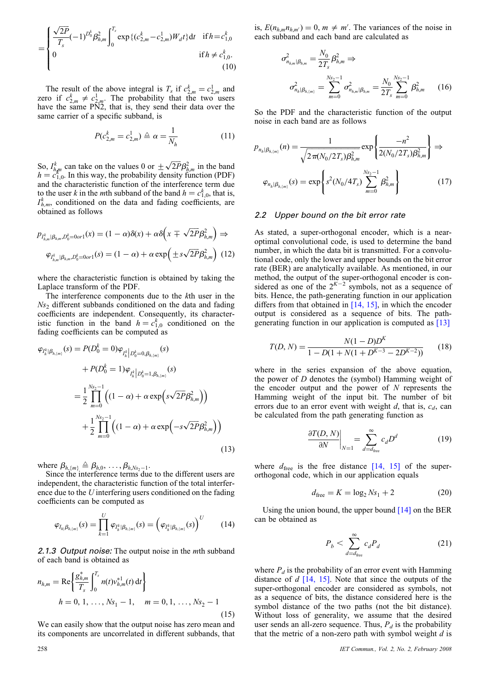$$
= \begin{cases} \frac{\sqrt{2P}}{T_s}(-1)^{D_0^k} \beta_{h,m}^2 \int_0^{T_s} \exp\{(c_{2,m}^k - c_{2,m}^1)W_d t\} dt & \text{if } h = c_{1,0}^k\\ 0 & \text{if } h \neq c_{1,0}^k. \end{cases}
$$
(10)

The result of the above integral is  $T_s$  if  $c_{2,m}^k = c_{2,m}^1$  and zero if  $c_{2,m}^k \neq c_{2,m}^1$ . The probability that the two users have the same PN2, that is, they send their data over the same carrier of a specific subband, is

$$
P(c_{2,m}^k = c_{2,m}^1) \triangleq \alpha = \frac{1}{N_h}
$$
 (11)

So,  $I_{h,m}^k$  can take on the values 0 or  $\pm \sqrt{2P}\beta_{h,m}^2$  in the band  $h = c_{1,0}^{n,m}$ . In this way, the probability density function (PDF) and the characteristic function of the interference term due to the user k in the mth subband of the band  $h = c_{1,0}^k$ , that is,  $I_{h,m}^k$ , conditioned on the data and fading coefficients, are obtained as follows

$$
p_{I_{h,m}^k|\beta_{h,m},D_0^k=0 \text{ or } 1}(x) = (1-\alpha)\delta(x) + \alpha\delta\left(x \mp \sqrt{2P}\beta_{h,m}^2\right) \Rightarrow
$$

$$
\varphi_{I_{h,m}^k|\beta_{h,m},D_0^k=0 \text{ or } 1}(s) = (1-\alpha) + \alpha\exp\left(\pm s\sqrt{2P}\beta_{h,m}^2\right) (12)
$$

where the characteristic function is obtained by taking the Laplace transform of the PDF.

The interference components due to the kth user in the  $Ns<sub>2</sub>$  different subbands conditioned on the data and fading coefficients are independent. Consequently, its characteristic function in the band  $h = c_{1,0}^k$  conditioned on the fading coefficients can be computed as

$$
\varphi_{I_{h}^{k}|\beta_{h,[m]}}(s) = P(D_{0}^{k} = 0)\varphi_{I_{h}^{k}}|_{D_{0}^{k} = 0, \beta_{h,[m]}}(s)
$$
  
+  $P(D_{0}^{k} = 1)\varphi_{I_{h}^{k}}|_{D_{0}^{k} = 1, \beta_{h,[m]}}(s)$   
=  $\frac{1}{2} \prod_{m=0}^{N_{S_{2}}-1} \left( (1 - \alpha) + \alpha \exp\left(s\sqrt{2P}\beta_{h,m}^{2}\right) \right)$   
+  $\frac{1}{2} \prod_{m=0}^{N_{S_{2}}-1} \left( (1 - \alpha) + \alpha \exp\left(-s\sqrt{2P}\beta_{h,m}^{2}\right) \right)$  (13)

where  $\beta_{h_1,m_1} \triangleq \beta_{h,0}, \ldots, \beta_{h,Ns_2-1}$ .<br>Since the interference terms due to the different users are independent, the characteristic function of the total interference due to the U interfering users conditioned on the fading coefficients can be computed as

$$
\varphi_{I_{h_i}\beta_{h_i(m)}}(s) = \prod_{k=1}^U \varphi_{I_h^k|\beta_{h_i(m)}}(s) = \left(\varphi_{I_h^k|\beta_{h_i(m)}}(s)\right)^U \qquad (14)
$$

2.1.3 Output noise: The output noise in the *mth* subband of each band is obtained as

$$
n_{h,m} = \text{Re}\left\{\frac{g_{h,m}^*}{T_s}\int_0^{T_s} n(t)v_{h,m}^{*1}(t) dt\right\}
$$
  
 
$$
h = 0, 1, ..., Ns_1 - 1, \quad m = 0, 1, ..., Ns_2 - 1
$$
 (15)

We can easily show that the output noise has zero mean and its components are uncorrelated in different subbands, that

is,  $E(n_{h,m}n_{h,m'}) = 0, m \neq m'$ . The variances of the noise in each subband and each band are calculated as

$$
\sigma_{n_{h,m}|\beta_{h,m}}^2 = \frac{N_0}{2T_s} \beta_{h,m}^2 \Rightarrow
$$
\n
$$
\sigma_{n_h|\beta_{h,m}}^2 = \sum_{m=0}^{N_{S_2}-1} \sigma_{n_{h,m}|\beta_{h,m}}^2 = \frac{N_0}{2T_s} \sum_{m=0}^{N_{S_2}-1} \beta_{h,m}^2 \qquad (16)
$$

So the PDF and the characteristic function of the output noise in each band are as follows

$$
p_{n_h|B_{h,(m)}}(n) = \frac{1}{\sqrt{2\pi (N_0/2T_s)\beta_{h,m}^2}} \exp\left\{\frac{-n^2}{2(N_0/2T_s)\beta_{h,m}^2}\right\} \Rightarrow
$$

$$
\varphi_{n_h|B_{h,(m)}}(s) = \exp\left\{s^2(N_0/4T_s)\sum_{m=0}^{N_{s_2}-1}\beta_{h,m}^2\right\}
$$
(17)

#### 2.2 Upper bound on the bit error rate

As stated, a super-orthogonal encoder, which is a nearoptimal convolutional code, is used to determine the band number, in which the data bit is transmitted. For a convolutional code, only the lower and upper bounds on the bit error rate (BER) are analytically available. As mentioned, in our method, the output of the super-orthogonal encoder is considered as one of the  $2^{K-2}$  symbols, not as a sequence of bits. Hence, the path-generating function in our application differs from that obtained in  $[14, 15]$ , in which the encoder output is considered as a sequence of bits. The pathgenerating function in our application is computed as [13]

$$
T(D, N) = \frac{N(1 - D)D^{K}}{1 - D(1 + N(1 + D^{K-3} - 2D^{K-2}))}
$$
(18)

where in the series expansion of the above equation, the power of  $D$  denotes the (symbol) Hamming weight of the encoder output and the power of  $N$  represents the Hamming weight of the input bit. The number of bit errors due to an error event with weight  $d$ , that is,  $c_d$ , can be calculated from the path generating function as

$$
\left. \frac{\partial T(D, N)}{\partial N} \right|_{N=1} = \sum_{d=d_{\text{free}}}^{\infty} c_d D^d \tag{19}
$$

where  $d_{\text{free}}$  is the free distance [14, 15] of the superorthogonal code, which in our application equals

$$
d_{\text{free}} = K = \log_2 N s_1 + 2 \tag{20}
$$

Using the union bound, the upper bound  $[14]$  on the BER can be obtained as

$$
P_b < \sum_{d=d_{\text{free}}}^{\infty} c_d P_d \tag{21}
$$

where  $P_d$  is the probability of an error event with Hamming distance of  $d$  [14, 15]. Note that since the outputs of the super-orthogonal encoder are considered as symbols, not as a sequence of bits, the distance considered here is the symbol distance of the two paths (not the bit distance). Without loss of generality, we assume that the desired user sends an all-zero sequence. Thus,  $P_d$  is the probability that the metric of a non-zero path with symbol weight  $d$  is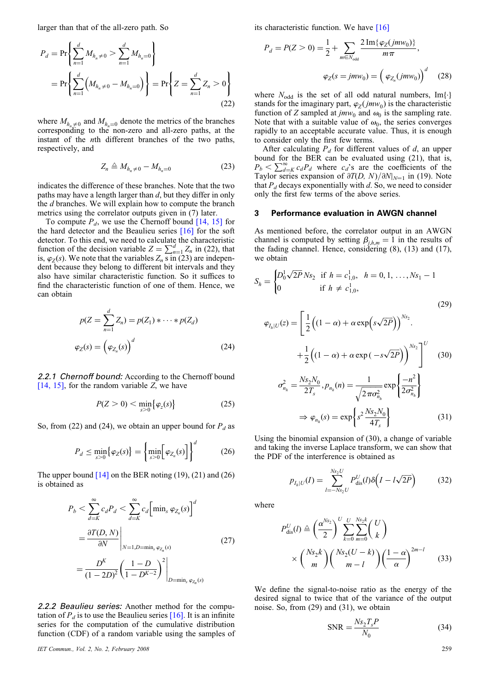larger than that of the all-zero path. So

$$
P_d = \Pr\left\{\sum_{n=1}^d M_{h_n \neq 0} > \sum_{n=1}^d M_{h_n = 0}\right\}
$$
  
= 
$$
\Pr\left\{\sum_{n=1}^d \left(M_{h_n \neq 0} - M_{h_n = 0}\right)\right\} = \Pr\left\{Z = \sum_{n=1}^d Z_n > 0\right\}
$$
(22)

where  $M_{h_n\neq0}$  and  $M_{h_n=0}$  denote the metrics of the branches corresponding to the non-zero and all-zero paths, at the instant of the nth different branches of the two paths, respectively, and

$$
Z_n \triangleq M_{h_n \neq 0} - M_{h_n = 0} \tag{23}
$$

indicates the difference of these branches. Note that the two paths may have a length larger than  $d$ , but they differ in only the d branches. We will explain how to compute the branch metrics using the correlator outputs given in (7) later.

To compute  $P_d$ , we use the Chernoff bound [14, 15] for the hard detector and the Beaulieu series [16] for the soft detector. To this end, we need to calculate the characteristic function of the decision variable  $Z = \sum_{n=1}^{d} Z_n$  in (22), that is,  $\varphi_Z(s)$ . We note that the variables  $Z_n$  s in (23) are independent because they belong to different bit intervals and they also have similar characteristic function. So it suffices to find the characteristic function of one of them. Hence, we can obtain

$$
p(Z = \sum_{n=1}^{d} Z_n) = p(Z_1) * \cdots * p(Z_d)
$$
  

$$
\varphi_Z(s) = \left(\varphi_{Z_n}(s)\right)^d
$$
 (24)

2.2.1 Chernoff bound: According to the Chernoff bound  $[14, 15]$ , for the random variable Z, we have

$$
P(Z>0) < \min_{s>0} \{\varphi_{z}(s)\} \tag{25}
$$

So, from (22) and (24), we obtain an upper bound for  $P_d$  as

$$
P_d \le \min_{s>0} \{ \varphi_Z(s) \} = \left\{ \min_{s>0} \left[ \varphi_{Z_n}(s) \right] \right\}^d \tag{26}
$$

The upper bound  $[14]$  on the BER noting  $(19)$ ,  $(21)$  and  $(26)$ is obtained as

$$
P_b < \sum_{d=K}^{\infty} c_d P_d < \sum_{d=K}^{\infty} c_d \left[ \min_s \varphi_{Z_n}(s) \right]^d
$$
\n
$$
= \frac{\partial T(D, N)}{\partial N} \bigg|_{N=1, D=\min_s \varphi_{Z_n}(s)} \tag{27}
$$
\n
$$
= \frac{D^K}{(1 - 2D)^2} \left( \frac{1 - D}{1 - D^{K-2}} \right)^2 \bigg|_{D=\min_s \varphi_{Z_n}(s)}
$$

2.2.2 Beaulieu series: Another method for the computation of  $P_d$  is to use the Beaulieu series [16]. It is an infinite series for the computation of the cumulative distribution function (CDF) of a random variable using the samples of

IET Commun., Vol. 2, No. 2, February 2008 259

its characteristic function. We have [16]

$$
P_d = P(Z > 0) = \frac{1}{2} + \sum_{m \in N_{\text{odd}}} \frac{2 \operatorname{Im} \{ \varphi_Z(jm w_0) \}}{m \pi},
$$
  

$$
\varphi_Z(s = jm w_0) = \left( \varphi_{Z_n}(jm w_0) \right)^d \quad (28)
$$

where  $N_{\text{odd}}$  is the set of all odd natural numbers, Im{.} stands for the imaginary part,  $\varphi_Z(jmw_0)$  is the characteristic function of Z sampled at  $jmv_0$  and  $\omega_0$  is the sampling rate. Note that with a suitable value of  $\omega_0$ , the series converges rapidly to an acceptable accurate value. Thus, it is enough to consider only the first few terms.

After calculating  $P_d$  for different values of d, an upper bound for the BER can be evaluated using (21), that is,  $P_b < \sum_{d=K}^{\infty} c_d P_d$  where  $c_d$ 's are the coefficients of the Taylor series expansion of  $\partial T(D, N)/\partial N|_{N=1}$  in (19). Note that  $P_d$  decays exponentially with d. So, we need to consider only the first few terms of the above series.

#### 3 Performance evaluation in AWGN channel

As mentioned before, the correlator output in an AWGN channel is computed by setting  $\beta_{j,h,m} = 1$  in the results of the fading channel. Hence, considering (8), (13) and (17), we obtain

$$
S_h = \begin{cases} D_0^1 \sqrt{2P} N s_2 & \text{if } h = c_{1,0}^1, \quad h = 0, 1, \dots, N s_1 - 1 \\ 0 & \text{if } h \neq c_{1,0}^1, \quad (29) \end{cases}
$$
  

$$
\varphi_{I_h|U}(z) = \left[ \frac{1}{2} \left( (1 - \alpha) + \alpha \exp\left(s \sqrt{2P}\right) \right)^{N s_2} \right]^{U} \left( 30 \right)
$$
  

$$
+ \frac{1}{2} \left( (1 - \alpha) + \alpha \exp\left(-s \sqrt{2P}\right) \right)^{N s_2} \right]^{U} \left( 30 \right)
$$
  

$$
\sigma_{n_h}^2 = \frac{N s_2 N_0}{2T_s}, p_{n_h}(n) = \frac{1}{\sqrt{2\pi \sigma_{n_h}^2}} \exp\left\{ \frac{-n^2}{2\sigma_{n_h}^2} \right\}
$$
  

$$
\Rightarrow \varphi_{n_h}(s) = \exp\left\{ s^2 \frac{N s_2 N_0}{4T_s} \right\} \qquad (31)
$$

Using the binomial expansion of (30), a change of variable and taking the inverse Laplace transform, we can show that the PDF of the interference is obtained as

$$
p_{I_h|U}(I) = \sum_{l=-Ns_2U}^{Ns_2U} P_{dis}^U(l)\delta\Big(I - l\sqrt{2P}\Big) \tag{32}
$$

where

 $\mathcal{L}$ 

$$
P_{dis}^{U}(l) \triangleq \left(\frac{\alpha^{N_{s_2}}}{2}\right)^{U} \sum_{k=0}^{U} \sum_{m=0}^{N_{s_2}k} \binom{U}{k}
$$

$$
\times \binom{N_{s_2}k}{m} \binom{N_{s_2}(U-k)}{m-l} \left(\frac{1-\alpha}{\alpha}\right)^{2m-l} \tag{33}
$$

We define the signal-to-noise ratio as the energy of the desired signal to twice that of the variance of the output noise. So, from (29) and (31), we obtain

$$
SNR = \frac{Ns_2 T_s P}{N_0}
$$
 (34)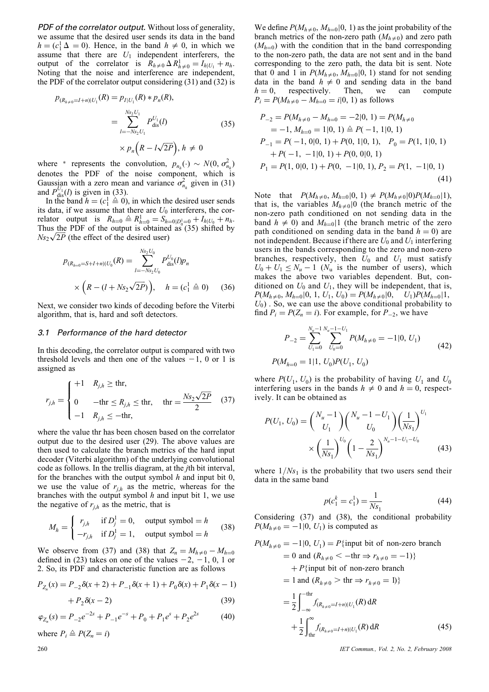PDF of the correlator output. Without loss of generality, we assume that the desired user sends its data in the band  $h = (c_1^1 \Delta = 0)$ . Hence, in the band  $h \neq 0$ , in which we assume that there are  $U_1$  independent interferers, the output of the correlator is  $\overline{R}_{h \neq 0} \Delta R_{h \neq 0}^1 = I_{h|U_1} + n_h$ . Noting that the noise and interference are independent, the PDF of the correlator output considering (31) and (32) is

$$
p_{(R_{h\neq 0}=I+n)|U_1}(R) = p_{I|U_1}(R) * p_n(R),
$$
  
= 
$$
\sum_{l=-Ns_2U_1}^{Ns_2U_1} P_{dis}^{U_1}(l)
$$
  

$$
\times p_n(R - l\sqrt{2P}), h \neq 0
$$
 (35)

where \* represents the convolution,  $p_{n_h}(\cdot) \sim N(0, \sigma_{n_h}^2)$ denotes the PDF of the noise component, which is Gaussian with a zero mean and variance  $\sigma_{n_h}^2$  given in (31) and  $P_{\text{dis}}^{U_1}(l)$  is given in (33).

In the band  $h = (c_1^1 \triangleq 0)$ , in which the desired user sends its data, if we assume that there are  $U_0$  interferers, the correlator output is  $R_{h=0} \triangleq R_{h=0}^1 = S_{h=0} D_0^1 = 0 + I_h U_0 + n_h$ . Thus the PDF of the output is obtained as  $(35)$  shifted by Thus the PDF of the output is obtained<br> $Ns_2\sqrt{2P}$  (the effect of the desired user)

$$
p_{(R_{h=0}=S+I+n)|U_0}(R) = \sum_{l=-Ns_2U_0}^{Ns_2U_0} P_{dis}^{U_0}(l)p_n
$$
  
 
$$
\times \left(R - (l + Ns_2\sqrt{2P})\right), \quad h = (c_1^1 \triangleq 0) \quad (36)
$$

Next, we consider two kinds of decoding before the Viterbi algorithm, that is, hard and soft detectors.

## 3.1 Performance of the hard detector

In this decoding, the correlator output is compared with two threshold levels and then one of the values  $-1$ , 0 or 1 is assigned as

$$
r_{j,h} = \begin{cases} +1 & R_{j,h} \ge \text{thr}, \\ 0 & -\text{thr} \le R_{j,h} \le \text{thr}, \\ -1 & R_{j,h} \le -\text{thr}, \end{cases} \quad \text{thr} = \frac{Ns_2\sqrt{2P}}{2} \quad (37)
$$

where the value thr has been chosen based on the correlator output due to the desired user (29). The above values are then used to calculate the branch metrics of the hard input decoder (Viterbi algorithm) of the underlying convolutional code as follows. In the trellis diagram, at the jth bit interval, for the branches with the output symbol  $h$  and input bit  $0$ , we use the value of  $r_{j,h}$  as the metric, whereas for the branches with the output symbol  $h$  and input bit 1, we use the negative of  $r_{i,h}$  as the metric, that is

$$
M_h = \begin{cases} r_{j,h} & \text{if } D_j^1 = 0, \text{ output symbol } = h \\ -r_{j,h} & \text{if } D_j^1 = 1, \text{ output symbol } = h \end{cases}
$$
 (38)

We observe from (37) and (38) that  $Z_n = M_{h \neq 0} - M_{h=0}$ defined in (23) takes on one of the values  $-2$ ,  $-1$ , 0, 1 or 2. So, its PDF and characteristic function are as follows

$$
P_{Z_n}(x) = P_{-2}\delta(x+2) + P_{-1}\delta(x+1) + P_0\delta(x) + P_1\delta(x-1) + P_2\delta(x-2)
$$
\n(39)

$$
\varphi_{Z_n}(s) = P_{-2}e^{-2s} + P_{-1}e^{-s} + P_0 + P_1e^{s} + P_2e^{2s} \tag{40}
$$

where  $P_i \triangleq P(Z_n = i)$ 

We define  $P(M_{h\neq 0}, M_{h=0}|0, 1)$  as the joint probability of the branch metrics of the non-zero path  $(M_{h\neq 0})$  and zero path  $(M_{h=0})$  with the condition that in the band corresponding to the non-zero path, the data are not sent and in the band corresponding to the zero path, the data bit is sent. Note that 0 and 1 in  $P(M_{h\neq0}, M_{h=0}|0, 1)$  stand for not sending data in the band  $h \neq 0$  and sending data in the band  $h = 0$ , respectively. Then, we can compute  $P_i = P(M_{h \neq 0} - M_{h=0} = i | 0, 1)$  as follows

$$
P_{-2} = P(M_{h \neq 0} - M_{h=0} = -2|0, 1) = P(M_{h \neq 0}
$$
  
= -1,  $M_{h=0} = 1|0, 1) \triangleq P(-1, 1|0, 1)$   
 $P_{-1} = P(-1, 0|0, 1) + P(0, 1|0, 1), \quad P_0 = P(1, 1|0, 1)$   
 $+ P(-1, -1|0, 1) + P(0, 0|0, 1)$   
 $P_1 = P(1, 0|0, 1) + P(0, -1|0, 1), P_2 = P(1, -1|0, 1)$   
(41)

Note that  $P(M_{h\neq 0}, M_{h=0}|0, 1) \neq P(M_{h\neq 0}|0)P(M_{h=0}|1),$ that is, the variables  $M_{h\neq0}$ [0] (the branch metric of the non-zero path conditioned on not sending data in the band  $h \neq 0$ ) and  $M_{h=0}$ |1 (the branch metric of the zero path conditioned on sending data in the band  $h = 0$ ) are not independent. Because if there are  $U_0$  and  $U_1$  interfering users in the bands corresponding to the zero and non-zero branches, respectively, then  $U_0$  and  $U_1$  must satisfy  $U_0 + U_1 \leq N_u - 1$  ( $N_u$  is the number of users), which makes the above two variables dependent. But, conditioned on  $U_0$  and  $U_1$ , they will be independent, that is,  $P(M_{h\neq 0}, M_{h=0}|0, 1, U_1, U_0) = P(M_{h\neq 0}|0, U_1)P(M_{h=0}|1,$  $U_0$ ). So, we can use the above conditional probability to find  $P_i = P(Z_n = i)$ . For example, for  $P_{-2}$ , we have

$$
P_{-2} = \sum_{U_1=0}^{N_u-1} \sum_{U_0=0}^{N_u-1-U_1} P(M_{h \neq 0} = -1 | 0, U_1)
$$
  
\n
$$
P(M_{h=0} = 1 | 1, U_0) P(U_1, U_0)
$$
\n(42)

where  $P(U_1, U_0)$  is the probability of having  $U_1$  and  $U_0$ interfering users in the bands  $h \neq 0$  and  $h = 0$ , respectively. It can be obtained as

$$
P(U_1, U_0) = {N_u - 1 \choose U_1} {N_u - 1 - U_1 \choose U_0} \left(\frac{1}{Ns_1}\right)^{U_1} \times \left(\frac{1}{Ns_1}\right)^{U_0} \left(1 - \frac{2}{Ns_1}\right)^{N_u - 1 - U_1 - U_0} \tag{43}
$$

where  $1/Ns_1$  is the probability that two users send their data in the same band

$$
p(c_1^k = c_1^1) = \frac{1}{Ns_1}
$$
 (44)

Considering (37) and (38), the conditional probability  $P(M_{h\neq 0} = -1|0, U_1)$  is computed as

$$
P(M_{h\neq0} = -1|0, U_1) = P\{\text{input bit of non-zero branch}
$$
  
= 0 and  $(R_{h\neq0} < -\text{thr} \Rightarrow r_{h\neq0} = -1)\}\$   
+ P\{\text{input bit of non-zero branch}  
= 1 and  $(R_{h\neq0} > \text{thr} \Rightarrow r_{h\neq0} = 1)\}\$   
=  $\frac{1}{2} \int_{-\infty}^{-\text{thr}} f_{(R_{h\neq0} = I + n)|U_1}(R) dR$   
+  $\frac{1}{2} \int_{\text{thr}}^{\infty} f_{(R_{h\neq0} = I + n)|U_1}(R) dR$  (45)

260 IET Commun., Vol. 2, No. 2, February 2008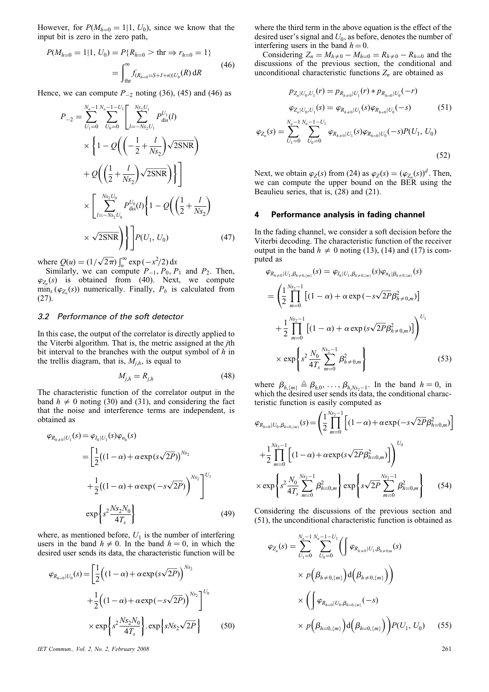However, for  $P(M_{h=0} = 1 | 1, U_0)$ , since we know that the input bit is zero in the zero path,

$$
P(M_{h=0} = 1|1, U_0) = P\{R_{h=0} > \text{thr} \Rightarrow r_{h=0} = 1\}
$$
  
= 
$$
\int_{\text{thr}}^{\infty} f_{(R_{h=0} = S + I + n)|U_0}(R) dR
$$
 (46)

Hence, we can compute  $P_{-2}$  noting (36), (45) and (46) as

$$
P_{-2} = \sum_{U_1=0}^{N_u-1} \sum_{U_0=0}^{N_u-1-U_1} \left[ \sum_{l=-Ns_2 U_1}^{Ns_2 U_1} P_{\text{dis}}^{U_1}(l) \times \left\{ 1 - Q \left( \left( -\frac{1}{2} + \frac{l}{Ns_2} \right) \sqrt{2 \text{SNR}} \right) \right\} \right] + Q \left( \left( \frac{1}{2} + \frac{l}{Ns_2} \right) \sqrt{2 \text{SNR}} \right) \right]
$$
  
 
$$
\times \left[ \sum_{l=-Ns_2 U_0}^{Ns_2 U_0} P_{\text{dis}}^{U_0}(l) \left\{ 1 - Q \left( \left( \frac{1}{2} + \frac{l}{Ns_2} \right) \right) \times \sqrt{2 \text{SNR}} \right\} \right] P(U_1, U_0) \qquad (47)
$$

where  $Q(u) = (1/\sqrt{2\pi}) \int_u^{\infty} \exp(-x^2/2) dx$ 

Similarly, we can compute  $P_{-1}$ ,  $P_0$ ,  $P_1$  and  $P_2$ . Then,  $\varphi_{Z_n}(s)$  is obtained from (40). Next, we compute  $\min_s (\varphi_{Z_n}(s))$  numerically. Finally,  $P_b$  is calculated from (27).

## 3.2 Performance of the soft detector

In this case, the output of the correlator is directly applied to the Viterbi algorithm. That is, the metric assigned at the jth bit interval to the branches with the output symbol of  $h$  in the trellis diagram, that is,  $M_{j,h}$ , is equal to

$$
M_{j,h} = R_{j,h} \tag{48}
$$

The characteristic function of the correlator output in the band  $h \neq 0$  noting (30) and (31), and considering the fact that the noise and interference terms are independent, is obtained as

$$
\varphi_{R_{h\neq 0}|U_1}(s) = \varphi_{I_h|U_1}(s)\varphi_{n_h}(s)
$$
  
=  $\left[\frac{1}{2}((1-\alpha) + \alpha \exp(s\sqrt{2P}))^{Ns_2}\right]$   
+  $\frac{1}{2}((1-\alpha) + \alpha \exp(-s\sqrt{2P}))^{Ns_2}\right]^{U_1}$   
 $\exp\left\{s^2 \frac{Ns_2N_0}{4T_s}\right\}$  (49)

where, as mentioned before,  $U_1$  is the number of interfering users in the band  $h \neq 0$ . In the band  $h = 0$ , in which the desired user sends its data, the characteristic function will be

$$
\varphi_{R_{h=0}|U_0}(s) = \left[\frac{1}{2}\left((1-\alpha) + \alpha \exp(s\sqrt{2P})\right)^{N_{S_2}} + \frac{1}{2}\left((1-\alpha) + \alpha \exp(-s\sqrt{2P})\right)^{N_{S_2}}\right]^{U_0} \times \exp\left\{s^2 \frac{Ns_2N_0}{4T_s}\right\} \cdot \exp\left\{sNs_2\sqrt{2P}\right\}
$$
(50)

IET Commun., Vol. 2, No. 2, February 2008 261

where the third term in the above equation is the effect of the desired user's signal and  $U_0$ , as before, denotes the number of interfering users in the band  $h = 0$ .

Considering  $Z_n = M_{h \neq 0} - M_{h=0} = R_{h \neq 0} - R_{h=0}$  and the discussions of the previous section, the conditional and unconditional characteristic functions  $Z_n$  are obtained as

$$
p_{Z_n|U_0, U_1}(r) = p_{R_{h \neq 0}|U_1}(r) * p_{R_{h=0}|U_0}(-r)
$$
  
\n
$$
\varphi_{Z_n|U_0, U_1}(s) = \varphi_{R_{h \neq 0}|U_1}(s) \varphi_{R_{h=0}|U_0}(-s)
$$
(51)  
\n
$$
\varphi_{Z_n}(s) = \sum_{U_1=0}^{N_u-1} \sum_{U_0=0}^{N_u-1-U_1} \varphi_{R_{h \neq 0}|U_1}(s) \varphi_{R_{h=0}|U_0}(-s) P(U_1, U_0)
$$
  
\n(52)

Next, we obtain  $\varphi_Z(s)$  from (24) as  $\varphi_Z(s) = (\varphi_{Z_n}(s))^d$ . Then, we can compute the upper bound on the BER using the Beaulieu series, that is, (28) and (21).

## 4 Performance analysis in fading channel

In the fading channel, we consider a soft decision before the Viterbi decoding. The characteristic function of the receiver output in the band  $h \neq 0$  noting (13), (14) and (17) is computed as

$$
\varphi_{R_{h\neq 0}|U_1, \beta_{h\neq 0, \{m\}}}(s) = \varphi_{I_h|U_1, \beta_{h\neq 0, \{m\}}}(s) \varphi_{n_h| \beta_{h\neq 0, \{m\}}}(s)
$$
\n
$$
= \left(\frac{1}{2} \prod_{m=0}^{N_{S_2}-1} \left[ (1-\alpha) + \alpha \exp(-s\sqrt{2P}\beta_{h\neq 0, m}^2) \right] + \frac{1}{2} \prod_{m=0}^{N_{S_2}-1} \left[ (1-\alpha) + \alpha \exp(s\sqrt{2P}\beta_{h\neq 0, m}^2) \right] \right)^{U_1}
$$
\n
$$
\times \exp \left\{ s^2 \frac{N_0}{4T_s} \sum_{m=0}^{N_{S_2}-1} \beta_{h\neq 0, m}^2 \right\} \tag{53}
$$

where  $\beta_{h,\{m\}} \triangleq \beta_{h,0}, \ldots, \beta_{h,N_{s_2-1}}$ . In the band  $h = 0$ , in which the desired user sends its data, the conditional characteristic function is easily computed as

$$
\varphi_{R_{h=0}|U_0, \beta_{h=0,(m)}}(s) = \left(\frac{1}{2} \prod_{m=0}^{N_{s_2-1}} \left[ (1-\alpha) + \alpha \exp(-s\sqrt{2P}\beta_{h=0,m}^2) \right] + \frac{1}{2} \prod_{m=0}^{N_{s_2-1}} \left[ (1-\alpha) + \alpha \exp(s\sqrt{2P}\beta_{h=0,m}^2) \right] \right)^{U_0}
$$
  
×  $\exp\left\{ s^2 \frac{N_0}{4T_s} \sum_{m=0}^{N_{s_2-1}} \beta_{h=0,m}^2 \right\} \exp\left\{ s\sqrt{2P} \sum_{m=0}^{N_{s_2-1}} \beta_{h=0,m}^2 \right\}$  (54)

Considering the discussions of the previous section and (51), the unconditional characteristic function is obtained as

$$
\varphi_{Z_n}(s) = \sum_{U_1=0}^{N_u-1} \sum_{U_0=0}^{N_u-1-U_1} \left( \int \varphi_{R_{h\neq 0}|U_1, \beta_{h\neq 0,m}}(s) \times p\left(\beta_{h\neq 0, \{m\}}\right) d\left(\beta_{h\neq 0, \{m\}}\right) \right)
$$

$$
\times \left( \int \varphi_{R_{h=0}|U_0, \beta_{h=0, \{m\}}}(-s) \times p\left(\beta_{h=0, \{m\}}\right) d\left(\beta_{h=0, \{m\}}\right) \right) P(U_1, U_0) \qquad (55)
$$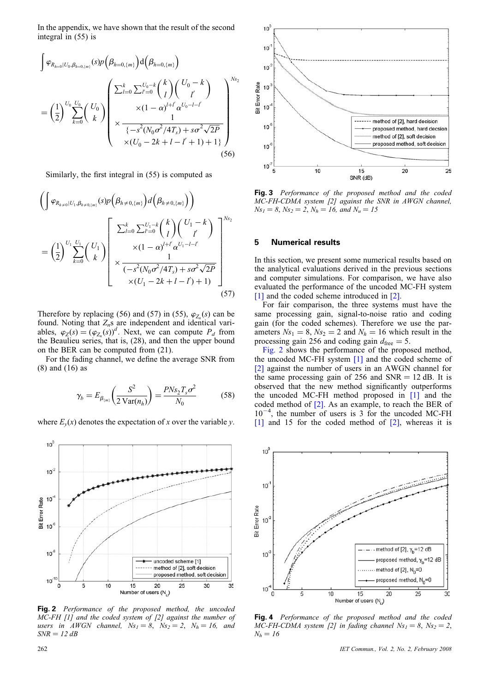In the appendix, we have shown that the result of the second integral in (55) is

$$
\int \varphi_{R_{h=0}|U_0, \beta_{h=0,(m)}}(s)p(\beta_{h=0,\{m\}})d(\beta_{h=0,\{m\}})
$$
\n
$$
= \left(\frac{1}{2}\right)^{U_0} \sum_{k=0}^{U_0} {U_0 \choose k} \left(\frac{\sum_{l=0}^k \sum_{l=0}^{U_0-k} {k \choose l} {U_0 - k \choose l}}{\times (1 - \alpha)^{l+l'} \alpha^{U_0 - l - l'} \choose 1} \times \frac{1}{\left\{-s^2(N_0\sigma^2/4T_s) + s\sigma^2\sqrt{2P}\right\} \times (U_0 - 2k + l - l' + 1) + 1\}}
$$
\n(56)

Similarly, the first integral in (55) is computed as

$$
\left(\int \varphi_{R_{h\neq 0}|U_1, \beta_{h\neq 0, \{m\}}}(s)p\left(\beta_{h\neq 0, \{m\}}\right)d\left(\beta_{h\neq 0, \{m\}}\right)\right)
$$
\n
$$
=\left(\frac{1}{2}\right)^{U_1} \sum_{k=0}^{U_1} \left(\begin{array}{c} U_1 \\ k \end{array}\right) \left(\begin{array}{c} \sum_{l=0}^k \sum_{l'=0}^{U_1-k} \binom{k}{l} \binom{U_1-k}{l'}\\ \times (1-\alpha)^{l+l'} \alpha^{U_1-l-l'}\\ \times \frac{1}{(-s^2(N_0\sigma^2/4T_s) + s\sigma^2\sqrt{2P}}\\ \times (U_1-2k+l-l')+1) \end{array}\right]^{Ns_2}
$$
\n(57)

Therefore by replacing (56) and (57) in (55),  $\varphi_{Z_n}(s)$  can be found. Noting that  $Z_n$ s are independent and identical variables,  $\varphi_Z(s) = (\varphi_{Z_n}(s))^d$ . Next, we can compute  $P_d$  from the Beaulieu series, that is, (28), and then the upper bound on the BER can be computed from (21).

For the fading channel, we define the average SNR from (8) and (16) as

$$
\gamma_b = E_{\beta_{(m)}} \left( \frac{S^2}{2 \operatorname{Var}(n_h)} \right) = \frac{P N s_2 T_s \sigma^2}{N_0} \tag{58}
$$

where  $E_y(x)$  denotes the expectation of x over the variable y.



Fig. 2 Performance of the proposed method, the uncoded MC-FH [1] and the coded system of [2] against the number of users in AWGN channel,  $Ns_1 = 8$ ,  $Ns_2 = 2$ ,  $N_h = 16$ , and  $SNR = 12 dB$ 



Fig. 3 Performance of the proposed method and the coded MC-FH-CDMA system [2] against the SNR in AWGN channel,  $Ns_1 = 8$ ,  $Ns_2 = 2$ ,  $N_h = 16$ , and  $N_u = 15$ 

## 5 Numerical results

In this section, we present some numerical results based on the analytical evaluations derived in the previous sections and computer simulations. For comparison, we have also evaluated the performance of the uncoded MC-FH system [1] and the coded scheme introduced in [2].

For fair comparison, the three systems must have the same processing gain, signal-to-noise ratio and coding gain (for the coded schemes). Therefore we use the parameters  $Ns_1 = 8$ ,  $Ns_2 = 2$  and  $N_h = 16$  which result in the processing gain 256 and coding gain  $d_{\text{free}} = 5$ .

Fig. 2 shows the performance of the proposed method, the uncoded MC-FH system [1] and the coded scheme of [2] against the number of users in an AWGN channel for the same processing gain of 256 and  $SNR = 12$  dB. It is observed that the new method significantly outperforms the uncoded MC-FH method proposed in [1] and the coded method of [2]. As an example, to reach the BER of  $10^{-4}$ , the number of users is 3 for the uncoded MC-FH [1] and 15 for the coded method of [2], whereas it is



Fig. 4 Performance of the proposed method and the coded MC-FH-CDMA system [2] in fading channel  $Ns_1 = 8$ ,  $Ns_2 = 2$ ,  $N_h = 16$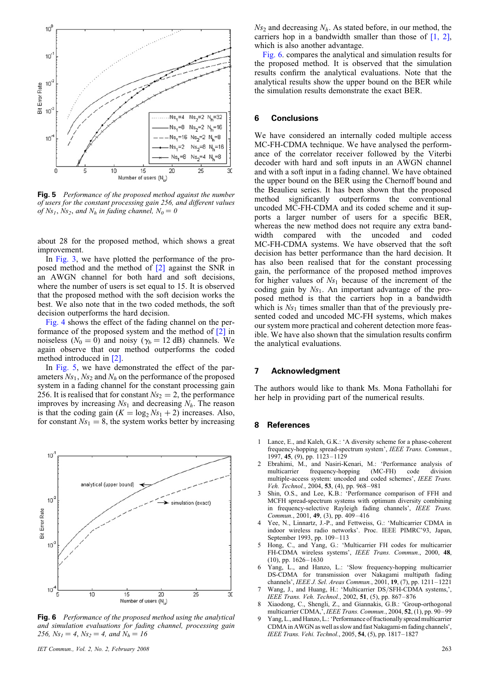

Fig. 5 Performance of the proposed method against the number of users for the constant processing gain 256, and different values of Ns<sub>1</sub>, Ns<sub>2</sub>, and N<sub>h</sub> in fading channel,  $N_0 = 0$ 

about 28 for the proposed method, which shows a great improvement.

In Fig. 3, we have plotted the performance of the proposed method and the method of [2] against the SNR in an AWGN channel for both hard and soft decisions, where the number of users is set equal to 15. It is observed that the proposed method with the soft decision works the best. We also note that in the two coded methods, the soft decision outperforms the hard decision.

Fig. 4 shows the effect of the fading channel on the performance of the proposed system and the method of [2] in noiseless ( $N_0 = 0$ ) and noisy ( $\gamma_b = 12$  dB) channels. We again observe that our method outperforms the coded method introduced in [2].

In Fig. 5, we have demonstrated the effect of the parameters  $Ns_1$ ,  $Ns_2$  and  $N_h$  on the performance of the proposed system in a fading channel for the constant processing gain 256. It is realised that for constant  $Ns_2 = 2$ , the performance improves by increasing  $N_{s_1}$  and decreasing  $N_h$ . The reason is that the coding gain  $(K = \log_2 Ns_1 + 2)$  increases. Also, for constant  $N_{S_1} = 8$ , the system works better by increasing



Fig. 6 Performance of the proposed method using the analytical and simulation evaluations for fading channel, processing gain 256,  $Ns_1 = 4$ ,  $Ns_2 = 4$ , and  $N_h = 16$ 

IET Commun., Vol. 2, No. 2, February 2008 263

 $Ns_2$  and decreasing  $N_h$ . As stated before, in our method, the carriers hop in a bandwidth smaller than those of  $[1, 2]$ , which is also another advantage.

Fig. 6. compares the analytical and simulation results for the proposed method. It is observed that the simulation results confirm the analytical evaluations. Note that the analytical results show the upper bound on the BER while the simulation results demonstrate the exact BER.

## 6 Conclusions

We have considered an internally coded multiple access MC-FH-CDMA technique. We have analysed the performance of the correlator receiver followed by the Viterbi decoder with hard and soft inputs in an AWGN channel and with a soft input in a fading channel. We have obtained the upper bound on the BER using the Chernoff bound and the Beaulieu series. It has been shown that the proposed method significantly outperforms the conventional uncoded MC-FH-CDMA and its coded scheme and it supports a larger number of users for a specific BER, whereas the new method does not require any extra bandwidth compared with the uncoded and coded MC-FH-CDMA systems. We have observed that the soft decision has better performance than the hard decision. It has also been realised that for the constant processing gain, the performance of the proposed method improves for higher values of  $Ns_1$  because of the increment of the coding gain by  $Ns_1$ . An important advantage of the proposed method is that the carriers hop in a bandwidth which is  $Ns_1$  times smaller than that of the previously presented coded and uncoded MC-FH systems, which makes our system more practical and coherent detection more feasible. We have also shown that the simulation results confirm the analytical evaluations.

#### 7 Acknowledgment

The authors would like to thank Ms. Mona Fathollahi for her help in providing part of the numerical results.

#### 8 References

- Lance, E., and Kaleh, G.K.: 'A diversity scheme for a phase-coherent frequency-hopping spread-spectrum system', IEEE Trans. Commun., 1997, 45, (9), pp. 1123–1129
- Ebrahimi, M., and Nasiri-Kenari, M.: 'Performance analysis of multicarrier frequency-hopping (MC-FH) code division multicarrier frequency-hopping (MC-FH) code division multiple-access system: uncoded and coded schemes', IEEE Trans. Veh. Technol., 2004, 53, (4), pp. 968-981
- 3 Shin, O.S., and Lee, K.B.: 'Performance comparison of FFH and MCFH spread-spectrum systems with optimum diversity combining in frequency-selective Rayleigh fading channels', IEEE Trans. Commun., 2001, 49, (3), pp. 409 –416
- 4 Yee, N., Linnartz, J.-P., and Fettweiss, G.: 'Multicarrier CDMA in indoor wireless radio networks'. Proc. IEEE PIMRC'93, Japan, September 1993, pp. 109–113
- 5 Hong, C., and Yang, G.: 'Multicarrier FH codes for multicarrier FH-CDMA wireless systems', IEEE Trans. Commun., 2000, 48, (10), pp. 1626– 1630
- Yang, L., and Hanzo, L.: 'Slow frequency-hopping multicarrier DS-CDMA for transmission over Nakagami multipath fading channels', IEEE J. Sel. Areas Commun., 2001, 19, (7), pp. 1211– 1221
- 7 Wang, J., and Huang, H.: 'Multicarrier DS/SFH-CDMA systems,', IEEE Trans. Veh. Technol., 2002, 51, (5), pp. 867– 876
- 8 Xiaodong, C., Shengli, Z., and Giannakis, G.B.: 'Group-orthogonal multicarrier CDMA,', IEEE Trans. Commun., 2004, 52, (1), pp. 90–99
- 9 Yang, L., and Hanzo, L.: 'Performance of fractionally spread multicarrier CDMAin AWGN as well as slow and fast Nakagami-m fading channels', IEEE Trans. Vehi. Technol., 2005, 54, (5), pp. 1817–1827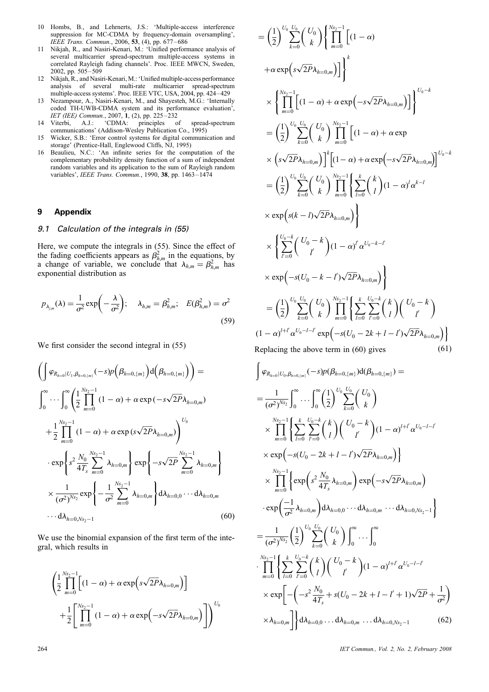- 10 Hombs, B., and Lehrnerts, J.S.: 'Multiple-access interference suppression for MC-CDMA by frequency-domain oversampling', IEEE Trans. Commun., 2006, 53, (4), pp. 677 –686
- 11 Nikjah, R., and Nasiri-Kenari, M.: 'Unified performance analysis of several multicarrier spread-spectrum multiple-access systems in correlated Rayleigh fading channels'. Proc. IEEE MWCN, Sweden, 2002, pp. 505– 509
- 12 Nikjah, R., and Nasiri-Kenari, M.: 'Unified multiple-access performance analysis of several multi-rate multicarrier spread-spectrum multiple-access systems'. Proc. IEEE VTC, USA, 2004, pp. 424–429
- 13 Nezampour, A., Nasiri-Kenari, M., and Shayesteh, M.G.: 'Internally coded TH-UWB-CDMA system and its performance evaluation', IET (IEE) Commun., 2007, 1, (2), pp. 225–232
- 14 Viterbi, A.J.: 'CDMA: principles of spread-spectrum communications' (Addison-Wesley Publication Co., 1995)
- 15 Wicker, S.B.: 'Error control systems for digital communication and storage' (Prentice-Hall, Englewood Cliffs, NJ, 1995)
- 16 Beaulieu, N.C.: 'An infinite series for the computation of the complementary probability density function of a sum of independent random variables and its application to the sum of Rayleigh random variables', IEEE Trans. Commun., 1990, 38, pp. 1463-1474

## 9 Appendix

## 9.1 Calculation of the integrals in (55)

Here, we compute the integrals in (55). Since the effect of the fading coefficients appears as  $\beta_{h,m}^2$  in the equations, by a change of variable, we conclude that  $\lambda_{h,m} = \beta_{h,m}^2$  has exponential distribution as

$$
p_{\lambda_{j,m}}(\lambda) = \frac{1}{\sigma^2} \exp\left(-\frac{\lambda}{\sigma^2}\right); \quad \lambda_{h,m} = \beta_{h,m}^2; \quad E(\beta_{h,m}^2) = \sigma^2
$$
\n(59)

We first consider the second integral in (55)

$$
\left(\int \varphi_{R_{h=0}|U_1,\beta_{h=0,(m)}}(-s)p\left(\beta_{h=0,\{m\}}\right)d\left(\beta_{h=0,\{m\}}\right)\right) =
$$
\n
$$
\int_0^\infty \cdots \int_0^\infty \left(\frac{1}{2}\prod_{m=0}^{N_{s_2-1}}(1-\alpha) + \alpha \exp(-s\sqrt{2P}\lambda_{h=0,m})\right) + \frac{1}{2}\prod_{m=0}^{N_{s_2-1}}(1-\alpha) + \alpha \exp(s\sqrt{2P}\lambda_{h=0,m})\right)^{U_0}
$$
\n
$$
\cdot \exp\left\{s^2 \frac{N_0}{4T_s} \sum_{m=0}^{N_{s_2-1}} \lambda_{h=0,m}\right\} \exp\left\{-s\sqrt{2P} \sum_{m=0}^{N_{s_2-1}} \lambda_{h=0,m}\right\}
$$
\n
$$
\times \frac{1}{(\sigma^2)^{N_{s_2}}} \exp\left\{-\frac{1}{\sigma^2} \sum_{m=0}^{N_{s_2-1}} \lambda_{h=0,m}\right\} d\lambda_{h=0,0} \cdots d\lambda_{h=0,m}
$$
\n
$$
\cdots d\lambda_{h=0,N_{s_2-1}} \tag{60}
$$

We use the binomial expansion of the first term of the integral, which results in

$$
\left(\frac{1}{2}\prod_{m=0}^{N_{S_2}-1}\left[(1-\alpha)+\alpha\exp\left(s\sqrt{2P}\lambda_{h=0,m}\right)\right]\right) + \frac{1}{2}\left[\prod_{m=0}^{N_{S_2}-1}\left(1-\alpha\right)+\alpha\exp\left(-s\sqrt{2P}\lambda_{h=0,m}\right)\right]\right)^{U_0}
$$

$$
= \left(\frac{1}{2}\right)^{U_{0}} \sum_{k=0}^{U_{0}} \binom{U_{0}}{k} \left\{\prod_{m=0}^{N_{S_{2}}-1} \left[(1-\alpha) + \alpha \exp\left(s\sqrt{2P}\lambda_{h=0,m}\right)\right]\right\}^{k}
$$
  
\n
$$
\times \left\{\prod_{m=0}^{N_{S_{2}}-1} \left[(1-\alpha) + \alpha \exp\left(-s\sqrt{2P}\lambda_{h=0,m}\right)\right]\right\}^{U_{0}-k}
$$
  
\n
$$
= \left(\frac{1}{2}\right)^{U_{0}} \sum_{k=0}^{U_{0}} \binom{U_{0}}{k} \prod_{m=0}^{N_{S_{2}}-1} \left[(1-\alpha) + \alpha \exp\left(-s\sqrt{2P}\lambda_{h=0,m}\right)\right]^{U_{0}-k}
$$
  
\n
$$
\times \left(s\sqrt{2P}\lambda_{h=0,m}\right)\right]^{k} \left[(1-\alpha) + \alpha \exp\left(-s\sqrt{2P}\lambda_{h=0,m}\right)\right]^{U_{0}-k}
$$
  
\n
$$
= \left(\frac{1}{2}\right)^{U_{0}} \sum_{k=0}^{U_{0}} \binom{U_{0}}{k} \prod_{m=0}^{N_{S_{2}}-1} \left\{\sum_{l=0}^{k} \binom{k}{l} (1-\alpha)^{l} \alpha^{k-l}
$$
  
\n
$$
\times \exp\left(s(k-l)\sqrt{2P}\lambda_{h=0,m}\right)\right\}
$$
  
\n
$$
\times \left\{\sum_{l'=0}^{U_{0}-k} \binom{U_{0}}{l} (1-\alpha)^{l} \alpha^{U_{0}-k-l'}
$$
  
\n
$$
\times \exp\left(-s(U_{0}-k-l')\sqrt{2P}\lambda_{h=0,m}\right)\right\}
$$
  
\n
$$
= \left(\frac{1}{2}\right)^{U_{0}} \sum_{k=0}^{U_{0}} \binom{U_{0}}{k} \prod_{m=0}^{N_{S_{2}}-1} \left\{\sum_{l=0}^{k} \sum_{l'=0}^{U_{0}-k} \binom{k}{l} \binom{U_{0}-k}{l'}
$$
  
\n
$$
(1-\alpha)^{l+l'} \alpha^{U_{0}-l-l'} \exp\left(-s(U_{0}-2k+l-l')\sqrt{
$$

$$
\int \varphi_{R_{h=0}|U_0, \beta_{h=0, \{m\}}(-s)p(\beta_{h=0, \{m\}})d(\beta_{h=0, \{m\}}) =
$$
\n
$$
= \frac{1}{(\sigma^2)^{N_{S_2}}}\int_0^{\infty} \cdots \int_0^{\infty} \left(\frac{1}{2}\right)^{U_0} \sum_{k=0}^{U_0} {U_0 \choose k}
$$
\n
$$
\times \prod_{m=0}^{N_{S_2-1}} \left\{ \sum_{l=0}^k \sum_{l=0}^{U_0-k} {k \choose l} {U_0 - k \choose l} (1 - \alpha)^{l+l'} \alpha^{U_0 - l - l'} \right\}
$$
\n
$$
\times \exp\left(-s(U_0 - 2k + l - l')\sqrt{2P}\lambda_{h=0,m}\right) \right\}
$$
\n
$$
\times \prod_{m=0}^{N_{S_2-1}} \left\{ \exp\left(s^2 \frac{N_0}{4T_s} \lambda_{h=0,m}\right) \exp\left(-s\sqrt{2P}\lambda_{h=0,m}\right)
$$
\n
$$
\cdot \exp\left(\frac{-1}{\sigma^2} \lambda_{h=0,m}\right) d\lambda_{h=0,0} \cdots d\lambda_{h=0,m} \cdots d\lambda_{h=0,N_{S_2-1}} \right\}
$$
\n
$$
= \frac{1}{(\sigma^2)^{N_{S_2}}} \left(\frac{1}{2}\right)^{U_0} \sum_{k=0}^{U_0} {U_0 \choose k} \int_0^{\infty} \cdots \int_0^{\infty}
$$
\n
$$
\cdot \prod_{m=0}^{N_{S_2-1}} \left\{ \sum_{l=0}^k \sum_{l'=0}^{U_0-k} {k \choose l} {U_0 - k \choose l'} (1 - \alpha)^{l+l'} \alpha^{U_0 - l - l'} \right\}
$$
\n
$$
\times \exp\left[-\left(-s^2 \frac{N_0}{4T_s} + s(U_0 - 2k + l - l' + 1)\sqrt{2P} + \frac{1}{\sigma^2}\right) \right]
$$
\n
$$
\times \lambda_{h=0,m} \right]\right\} d\lambda_{h=0,0} \ldots d\lambda_{h=0,m} \ldots d\lambda_{h=0,N_{S_2-1}} \qquad (62)
$$

264 IET Commun., Vol. 2, No. 2, February 2008